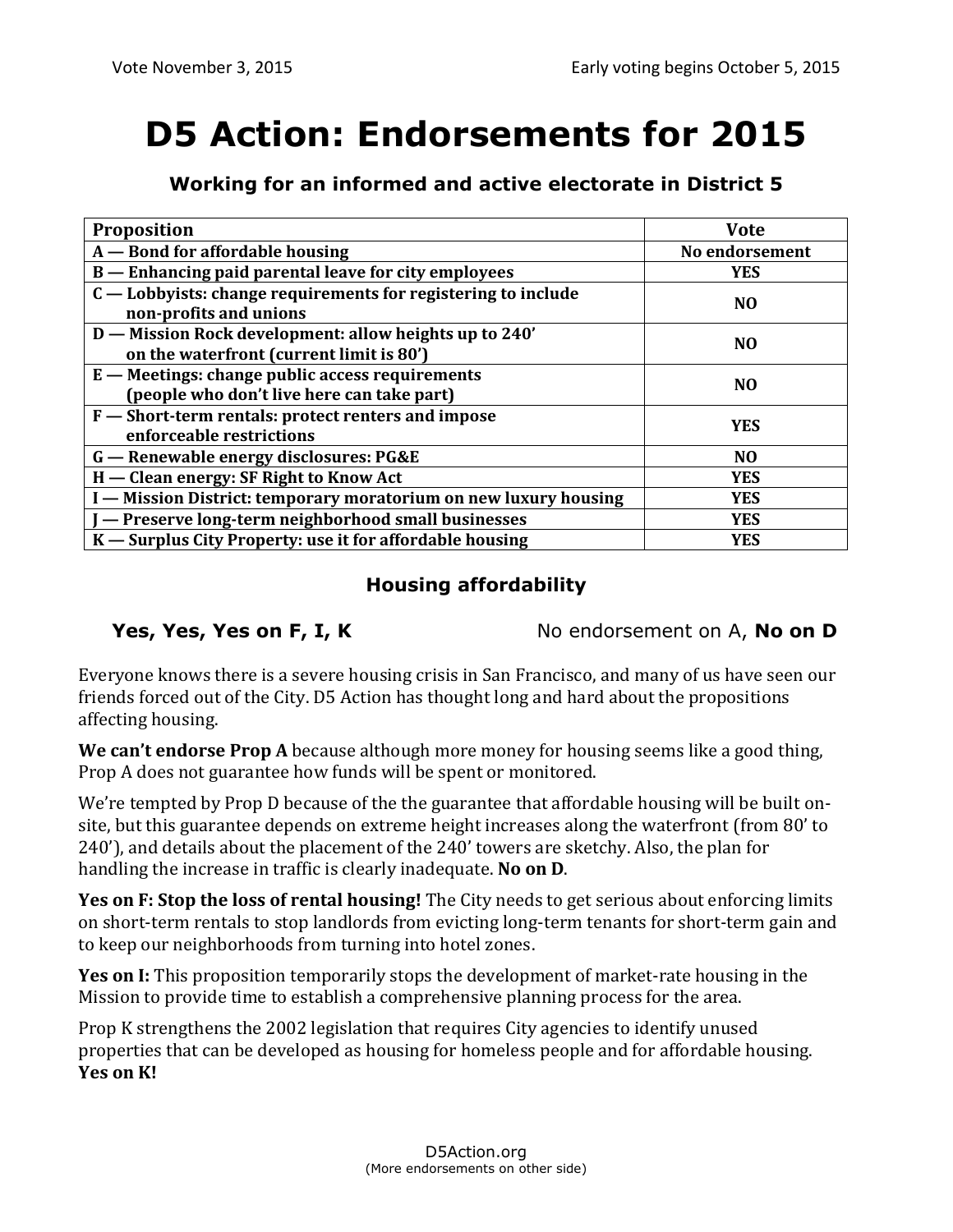# **D5 Action: Endorsements for 2015**

| <b>Proposition</b>                                                                                 | <b>Vote</b>    |
|----------------------------------------------------------------------------------------------------|----------------|
| A — Bond for affordable housing                                                                    | No endorsement |
| B — Enhancing paid parental leave for city employees                                               | <b>YES</b>     |
| $C -$ Lobbyists: change requirements for registering to include<br>non-profits and unions          | N <sub>0</sub> |
| D - Mission Rock development: allow heights up to 240'<br>on the waterfront (current limit is 80') | N <sub>O</sub> |
| $E$ – Meetings: change public access requirements<br>(people who don't live here can take part)    | N <sub>0</sub> |
| F – Short-term rentals: protect renters and impose<br>enforceable restrictions                     | YES.           |
| G — Renewable energy disclosures: PG&E                                                             | N <sub>O</sub> |
| H - Clean energy: SF Right to Know Act                                                             | <b>YES</b>     |
| I — Mission District: temporary moratorium on new luxury housing                                   | <b>YES</b>     |
| J — Preserve long-term neighborhood small businesses                                               | <b>YES</b>     |
| K — Surplus City Property: use it for affordable housing                                           | <b>YES</b>     |

**Working for an informed and active electorate in District 5**

## **Housing affordability**

**Yes, Yes, Yes on F, I, K** No endorsement on A, No on D

Everyone knows there is a severe housing crisis in San Francisco, and many of us have seen our friends forced out of the City. D5 Action has thought long and hard about the propositions affecting housing.

**We can't endorse Prop A** because although more money for housing seems like a good thing, Prop A does not guarantee how funds will be spent or monitored.

We're tempted by Prop D because of the the guarantee that affordable housing will be built onsite, but this guarantee depends on extreme height increases along the waterfront (from 80' to 240'), and details about the placement of the 240' towers are sketchy. Also, the plan for handling the increase in traffic is clearly inadequate. **No on D**.

**Yes on F: Stop the loss of rental housing!** The City needs to get serious about enforcing limits on short-term rentals to stop landlords from evicting long-term tenants for short-term gain and to keep our neighborhoods from turning into hotel zones.

**Yes on I:** This proposition temporarily stops the development of market-rate housing in the Mission to provide time to establish a comprehensive planning process for the area.

Prop K strengthens the 2002 legislation that requires City agencies to identify unused properties that can be developed as housing for homeless people and for affordable housing. **Yes on K!**